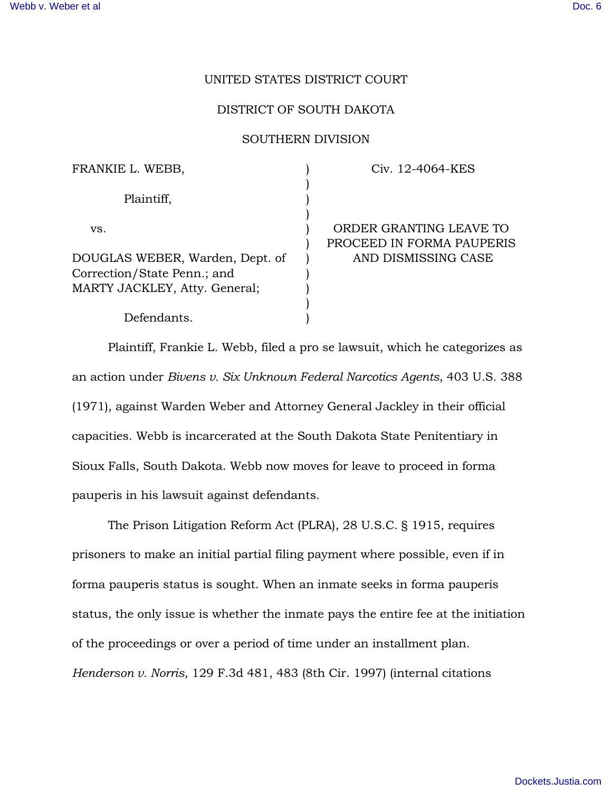# UNITED STATES DISTRICT COURT

## DISTRICT OF SOUTH DAKOTA

### SOUTHERN DIVISION

| FRANKIE L. WEBB,                | Civ. 12-4064-KES          |
|---------------------------------|---------------------------|
| Plaintiff,                      |                           |
|                                 |                           |
| VS.                             | ORDER GRANTING LEAVE TO   |
|                                 | PROCEED IN FORMA PAUPERIS |
| DOUGLAS WEBER, Warden, Dept. of | AND DISMISSING CASE       |
| Correction/State Penn.; and     |                           |
| MARTY JACKLEY, Atty. General;   |                           |
|                                 |                           |
| Defendants.                     |                           |

Plaintiff, Frankie L. Webb, filed a pro se lawsuit, which he categorizes as an action under *Bivens v. Six Unknown Federal Narcotics Agents*, 403 U.S. 388 (1971), against Warden Weber and Attorney General Jackley in their official capacities. Webb is incarcerated at the South Dakota State Penitentiary in Sioux Falls, South Dakota. Webb now moves for leave to proceed in forma pauperis in his lawsuit against defendants.

The Prison Litigation Reform Act (PLRA), 28 U.S.C. § 1915, requires prisoners to make an initial partial filing payment where possible, even if in forma pauperis status is sought. When an inmate seeks in forma pauperis status, the only issue is whether the inmate pays the entire fee at the initiation of the proceedings or over a period of time under an installment plan. *Henderson v. Norris*, 129 F.3d 481, 483 (8th Cir. 1997) (internal citations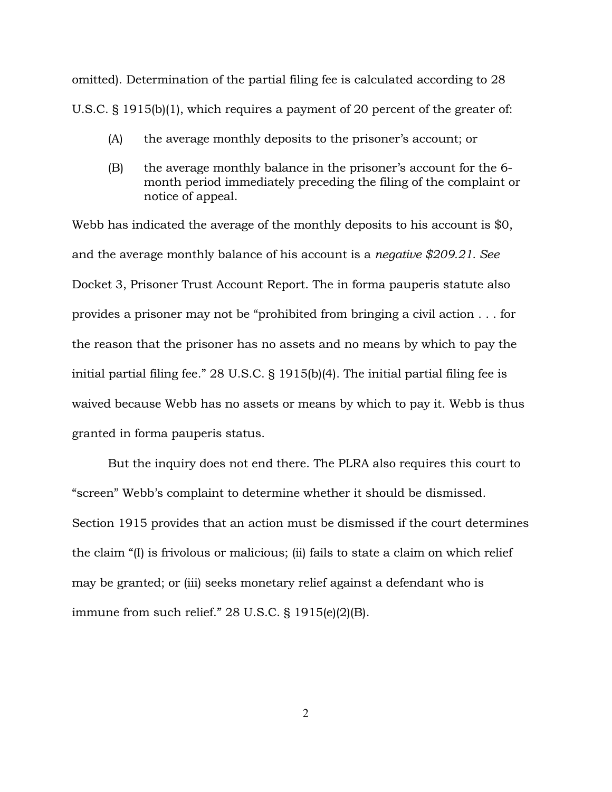omitted). Determination of the partial filing fee is calculated according to 28 U.S.C. § 1915(b)(1), which requires a payment of 20 percent of the greater of:

- (A) the average monthly deposits to the prisoner's account; or
- (B) the average monthly balance in the prisoner's account for the 6 month period immediately preceding the filing of the complaint or notice of appeal.

Webb has indicated the average of the monthly deposits to his account is \$0, and the average monthly balance of his account is a *negative \$209.21. See* Docket 3, Prisoner Trust Account Report. The in forma pauperis statute also provides a prisoner may not be "prohibited from bringing a civil action . . . for the reason that the prisoner has no assets and no means by which to pay the initial partial filing fee." 28 U.S.C. § 1915(b)(4). The initial partial filing fee is waived because Webb has no assets or means by which to pay it. Webb is thus granted in forma pauperis status.

But the inquiry does not end there. The PLRA also requires this court to "screen" Webb's complaint to determine whether it should be dismissed. Section 1915 provides that an action must be dismissed if the court determines the claim "(I) is frivolous or malicious; (ii) fails to state a claim on which relief may be granted; or (iii) seeks monetary relief against a defendant who is immune from such relief." 28 U.S.C. § 1915(e)(2)(B).

2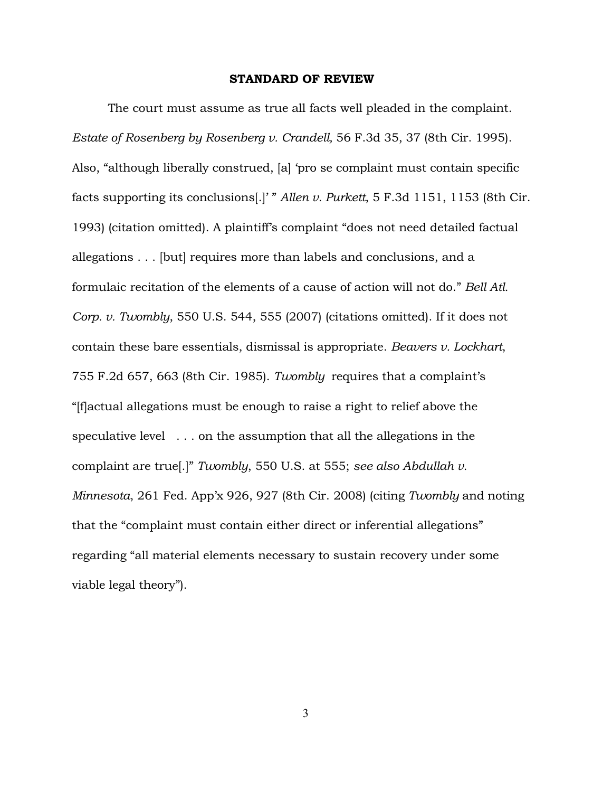## STANDARD OF REVIEW

The court must assume as true all facts well pleaded in the complaint. *Estate of Rosenberg by Rosenberg v. Crandell,* 56 F.3d 35, 37 (8th Cir. 1995). Also, "although liberally construed, [a] 'pro se complaint must contain specific facts supporting its conclusions[.]' " *Allen v. Purkett*, 5 F.3d 1151, 1153 (8th Cir. 1993) (citation omitted). A plaintiff's complaint "does not need detailed factual allegations . . . [but] requires more than labels and conclusions, and a formulaic recitation of the elements of a cause of action will not do." *Bell Atl. Corp. v. Twombly*, 550 U.S. 544, 555 (2007) (citations omitted). If it does not contain these bare essentials, dismissal is appropriate. *Beavers v. Lockhart*, 755 F.2d 657, 663 (8th Cir. 1985). *Twombly* requires that a complaint's "[f]actual allegations must be enough to raise a right to relief above the speculative level . . . on the assumption that all the allegations in the complaint are true[.]" *Twombly*, 550 U.S. at 555; *see also Abdullah v. Minnesota*, 261 Fed. App'x 926, 927 (8th Cir. 2008) (citing *Twombly* and noting that the "complaint must contain either direct or inferential allegations" regarding "all material elements necessary to sustain recovery under some viable legal theory").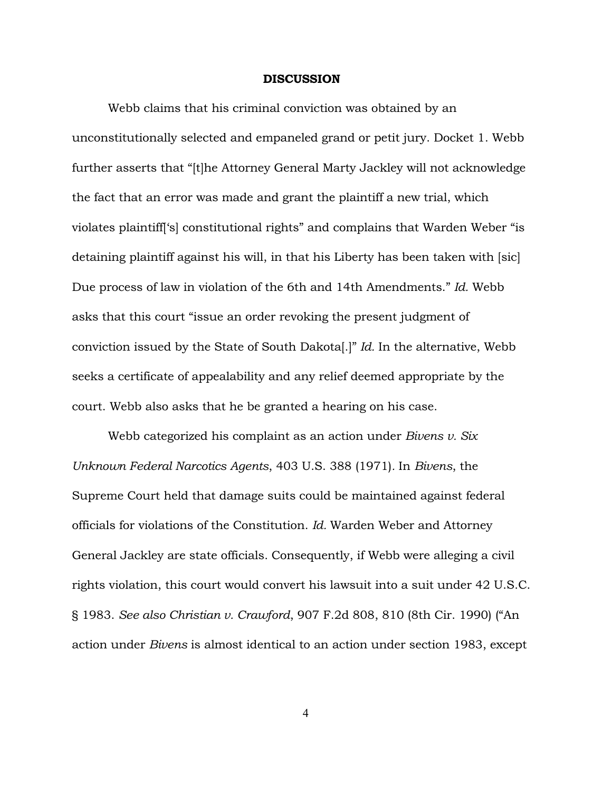### **DISCUSSION**

Webb claims that his criminal conviction was obtained by an unconstitutionally selected and empaneled grand or petit jury. Docket 1. Webb further asserts that "[t]he Attorney General Marty Jackley will not acknowledge the fact that an error was made and grant the plaintiff a new trial, which violates plaintiff['s] constitutional rights" and complains that Warden Weber "is detaining plaintiff against his will, in that his Liberty has been taken with [sic] Due process of law in violation of the 6th and 14th Amendments." *Id.* Webb asks that this court "issue an order revoking the present judgment of conviction issued by the State of South Dakota[.]" *Id.* In the alternative, Webb seeks a certificate of appealability and any relief deemed appropriate by the court. Webb also asks that he be granted a hearing on his case.

Webb categorized his complaint as an action under *Bivens v. Six Unknown Federal Narcotics Agents*, 403 U.S. 388 (1971)*.* In *Bivens*, the Supreme Court held that damage suits could be maintained against federal officials for violations of the Constitution. *Id.* Warden Weber and Attorney General Jackley are state officials. Consequently, if Webb were alleging a civil rights violation, this court would convert his lawsuit into a suit under 42 U.S.C. § 1983. *See also Christian v. Crawford*, 907 F.2d 808, 810 (8th Cir. 1990) ("An action under *Bivens* is almost identical to an action under section 1983, except

4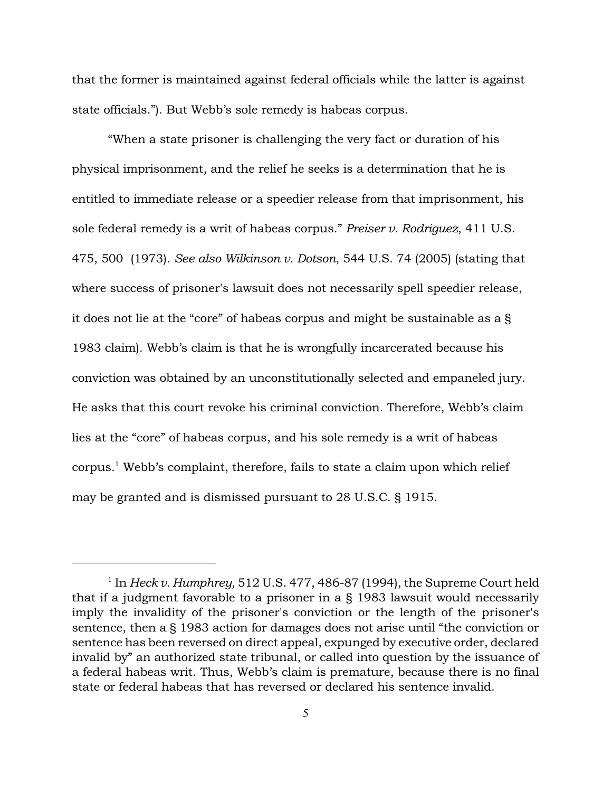that the former is maintained against federal officials while the latter is against state officials."). But Webb's sole remedy is habeas corpus.

"When a state prisoner is challenging the very fact or duration of his physical imprisonment, and the relief he seeks is a determination that he is entitled to immediate release or a speedier release from that imprisonment, his sole federal remedy is a writ of habeas corpus." *Preiser v. Rodriguez*, 411 U.S. 475, 500 (1973). *See also Wilkinson v. Dotson*, 544 U.S. 74 (2005) (stating that where success of prisoner's lawsuit does not necessarily spell speedier release, it does not lie at the "core" of habeas corpus and might be sustainable as a § 1983 claim). Webb's claim is that he is wrongfully incarcerated because his conviction was obtained by an unconstitutionally selected and empaneled jury. He asks that this court revoke his criminal conviction. Therefore, Webb's claim lies at the "core" of habeas corpus, and his sole remedy is a writ of habeas  $\operatorname{corpus.}^1$  Webb's  $\operatorname{complaint},$  therefore, fails to state a claim upon which relief may be granted and is dismissed pursuant to 28 U.S.C. § 1915.

<sup>&</sup>lt;sup>1</sup> In *Heck v. Humphrey,* 512 U.S. 477, 486-87 (1994), the Supreme Court held that if a judgment favorable to a prisoner in a § 1983 lawsuit would necessarily imply the invalidity of the prisoner's conviction or the length of the prisoner's sentence, then a § 1983 action for damages does not arise until "the conviction or sentence has been reversed on direct appeal, expunged by executive order, declared invalid by" an authorized state tribunal, or called into question by the issuance of a federal habeas writ. Thus, Webb's claim is premature, because there is no final state or federal habeas that has reversed or declared his sentence invalid.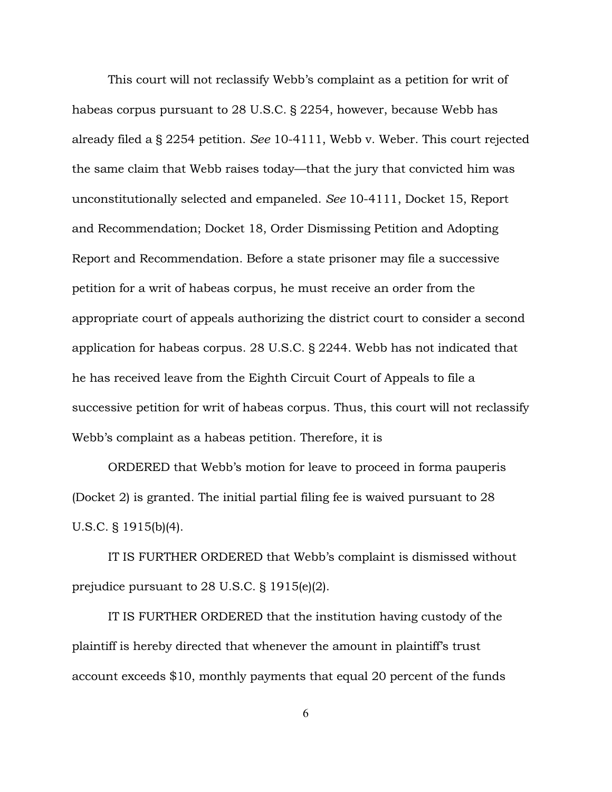This court will not reclassify Webb's complaint as a petition for writ of habeas corpus pursuant to 28 U.S.C. § 2254, however, because Webb has already filed a § 2254 petition. *See* 10-4111, Webb v. Weber. This court rejected the same claim that Webb raises today—that the jury that convicted him was unconstitutionally selected and empaneled. *See* 10-4111, Docket 15, Report and Recommendation; Docket 18, Order Dismissing Petition and Adopting Report and Recommendation. Before a state prisoner may file a successive petition for a writ of habeas corpus, he must receive an order from the appropriate court of appeals authorizing the district court to consider a second application for habeas corpus. 28 U.S.C. § 2244. Webb has not indicated that he has received leave from the Eighth Circuit Court of Appeals to file a successive petition for writ of habeas corpus. Thus, this court will not reclassify Webb's complaint as a habeas petition. Therefore, it is

ORDERED that Webb's motion for leave to proceed in forma pauperis (Docket 2) is granted. The initial partial filing fee is waived pursuant to 28 U.S.C. § 1915(b)(4).

IT IS FURTHER ORDERED that Webb's complaint is dismissed without prejudice pursuant to 28 U.S.C. § 1915(e)(2).

IT IS FURTHER ORDERED that the institution having custody of the plaintiff is hereby directed that whenever the amount in plaintiff's trust account exceeds \$10, monthly payments that equal 20 percent of the funds

6